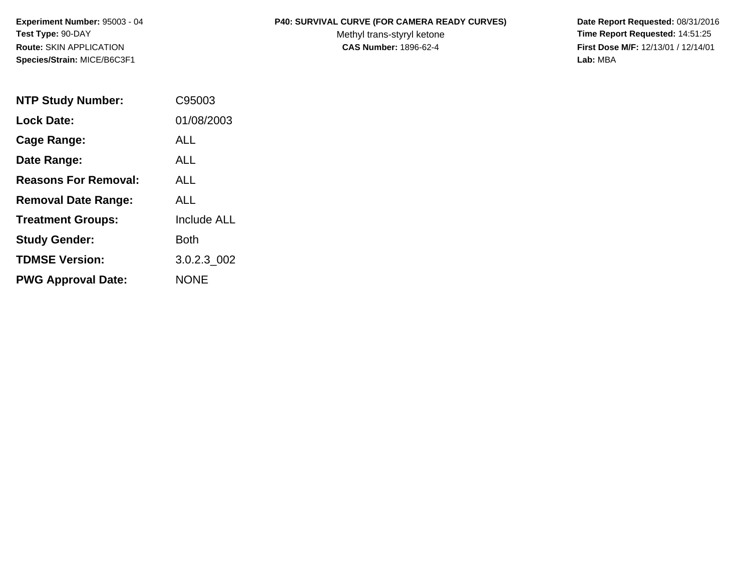**Species/Strain:** MICE/B6C3F1 **Lab:** MBA

## **Experiment Number:** 95003 - 04 **P40: SURVIVAL CURVE (FOR CAMERA READY CURVES) Date Report Requested:** 08/31/2016

Test Type: 90-DAY **The Report Requested: 14:51:25** Methyl trans-styryl ketone **Time Report Requested: 14:51:25 Route:** SKIN APPLICATION **CAS Number:** 1896-62-4 **First Dose M/F:** 12/13/01 / 12/14/01

| <b>NTP Study Number:</b>    | C95003             |
|-----------------------------|--------------------|
| <b>Lock Date:</b>           | 01/08/2003         |
| Cage Range:                 | ALL                |
| Date Range:                 | ALL                |
| <b>Reasons For Removal:</b> | ALL                |
| <b>Removal Date Range:</b>  | ALL                |
| <b>Treatment Groups:</b>    | <b>Include ALL</b> |
| <b>Study Gender:</b>        | Both               |
| <b>TDMSE Version:</b>       | 3.0.2.3 002        |
| <b>PWG Approval Date:</b>   | <b>NONE</b>        |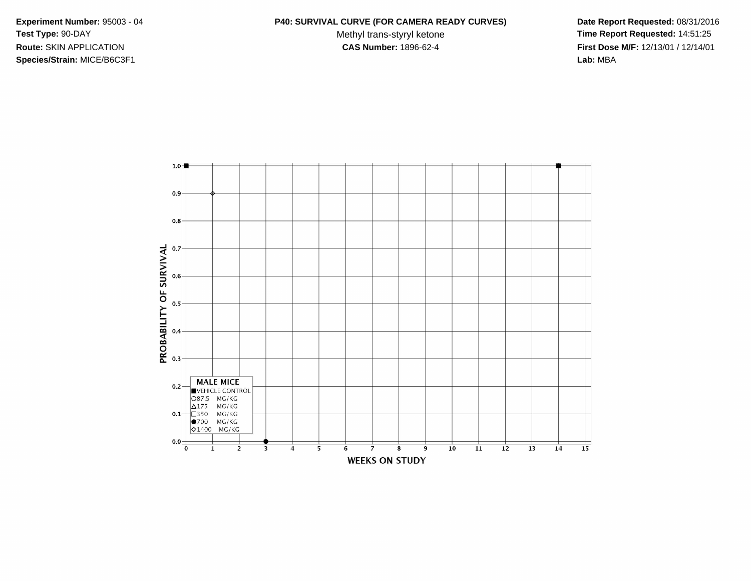**Species/Strain:** MICE/B6C3F1 **Lab:** MBA

## **Experiment Number:** 95003 - 04 **P40: SURVIVAL CURVE (FOR CAMERA READY CURVES) Date Report Requested:** 08/31/2016

Test Type: 90-DAY **The Report Requested: 14:51:25** Methyl trans-styryl ketone **Time Report Requested: 14:51:25 Route:** SKIN APPLICATION **CAS Number:** 1896-62-4 **First Dose M/F:** 12/13/01 / 12/14/01